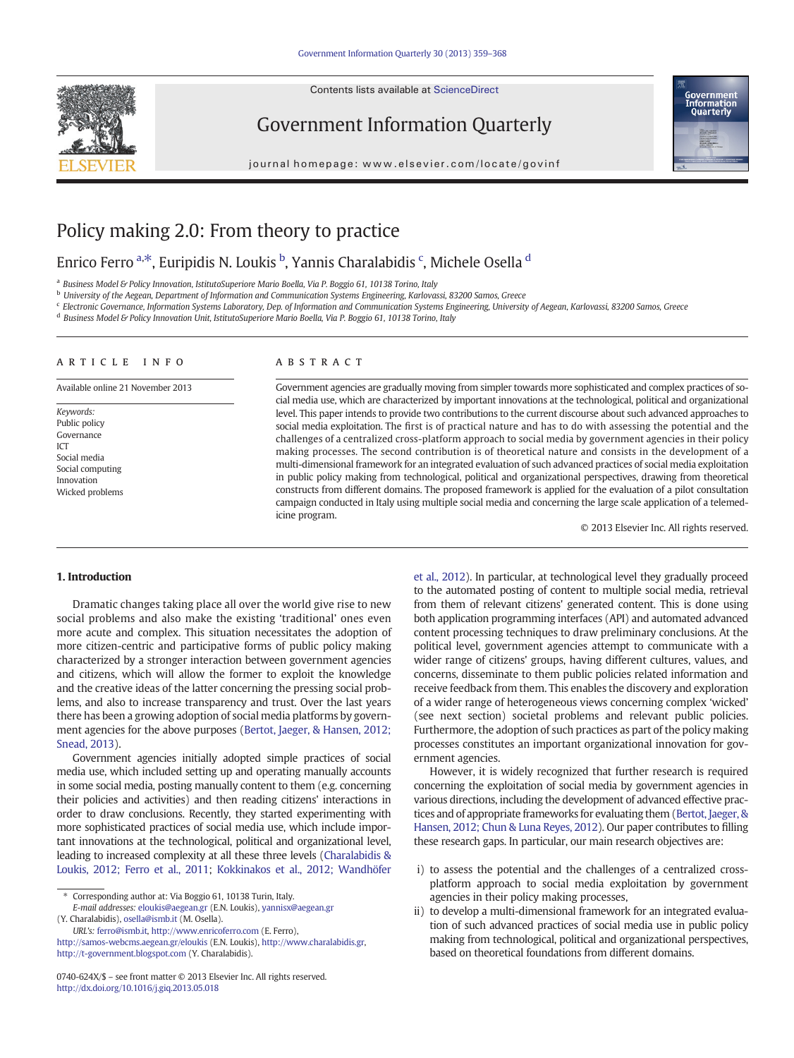Contents lists available at ScienceDirect



Government Information Quarterly

journal homepage: www.elsevier.com/locate/govinf



# Policy making 2.0: From theory to practice

Enrico Ferro <sup>a,\*</sup>, Euripidis N. Loukis <sup>b</sup>, Yannis Charalabidis <sup>c</sup>, Michele Osella <sup>d</sup>

<sup>a</sup> Business Model & Policy Innovation, IstitutoSuperiore Mario Boella, Via P. Boggio 61, 10138 Torino, Italy

<sup>b</sup> University of the Aegean, Department of Information and Communication Systems Engineering, Karlovassi, 83200 Samos, Greece

<sup>c</sup> Electronic Governance, Information Systems Laboratory, Dep. of Information and Communication Systems Engineering, University of Aegean, Karlovassi, 83200 Samos, Greece

<sup>d</sup> Business Model & Policy Innovation Unit, IstitutoSuperiore Mario Boella, Via P. Boggio 61, 10138 Torino, Italy

#### article info abstract

Available online 21 November 2013

Keywords: Public policy Governance ICT Social media Social computing Innovation Wicked problems

Government agencies are gradually moving from simpler towards more sophisticated and complex practices of social media use, which are characterized by important innovations at the technological, political and organizational level. This paper intends to provide two contributions to the current discourse about such advanced approaches to social media exploitation. The first is of practical nature and has to do with assessing the potential and the challenges of a centralized cross-platform approach to social media by government agencies in their policy making processes. The second contribution is of theoretical nature and consists in the development of a multi-dimensional framework for an integrated evaluation of such advanced practices of social media exploitation in public policy making from technological, political and organizational perspectives, drawing from theoretical constructs from different domains. The proposed framework is applied for the evaluation of a pilot consultation campaign conducted in Italy using multiple social media and concerning the large scale application of a telemedicine program.

© 2013 Elsevier Inc. All rights reserved.

# 1. Introduction

Dramatic changes taking place all over the world give rise to new social problems and also make the existing 'traditional' ones even more acute and complex. This situation necessitates the adoption of more citizen-centric and participative forms of public policy making characterized by a stronger interaction between government agencies and citizens, which will allow the former to exploit the knowledge and the creative ideas of the latter concerning the pressing social problems, and also to increase transparency and trust. Over the last years there has been a growing adoption of social media platforms by government agencies for the above purposes [\(Bertot, Jaeger, & Hansen, 2012;](#page-8-0) [Snead, 2013\)](#page-8-0).

Government agencies initially adopted simple practices of social media use, which included setting up and operating manually accounts in some social media, posting manually content to them (e.g. concerning their policies and activities) and then reading citizens' interactions in order to draw conclusions. Recently, they started experimenting with more sophisticated practices of social media use, which include important innovations at the technological, political and organizational level, leading to increased complexity at all these three levels [\(Charalabidis &](#page-8-0) [Loukis, 2012; Ferro et al., 2011;](#page-8-0) [Kokkinakos et al., 2012; Wandhöfer](#page-9-0)

E-mail addresses: [eloukis@aegean.gr](mailto:eloukis@aegean.gr) (E.N. Loukis), [yannisx@aegean.gr](mailto:yannisx@aegean.gr) (Y. Charalabidis), [osella@ismb.it](mailto:osella@ismb.it) (M. Osella).

URL's: <ferro@ismb.it>, <http://www.enricoferro.com> (E. Ferro),

<http://samos-webcms.aegean.gr/eloukis> (E.N. Loukis), <http://www.charalabidis.gr>, <http://t-government.blogspot.com> (Y. Charalabidis).

[et al., 2012](#page-9-0)). In particular, at technological level they gradually proceed to the automated posting of content to multiple social media, retrieval from them of relevant citizens' generated content. This is done using both application programming interfaces (API) and automated advanced content processing techniques to draw preliminary conclusions. At the political level, government agencies attempt to communicate with a wider range of citizens' groups, having different cultures, values, and concerns, disseminate to them public policies related information and receive feedback from them. This enables the discovery and exploration of a wider range of heterogeneous views concerning complex 'wicked' (see next section) societal problems and relevant public policies. Furthermore, the adoption of such practices as part of the policy making processes constitutes an important organizational innovation for government agencies.

However, it is widely recognized that further research is required concerning the exploitation of social media by government agencies in various directions, including the development of advanced effective practices and of appropriate frameworks for evaluating them [\(Bertot, Jaeger, &](#page-8-0) [Hansen, 2012; Chun & Luna Reyes, 2012](#page-8-0)). Our paper contributes to filling these research gaps. In particular, our main research objectives are:

- i) to assess the potential and the challenges of a centralized crossplatform approach to social media exploitation by government agencies in their policy making processes,
- ii) to develop a multi-dimensional framework for an integrated evaluation of such advanced practices of social media use in public policy making from technological, political and organizational perspectives, based on theoretical foundations from different domains.

Corresponding author at: Via Boggio 61, 10138 Turin, Italy.

<sup>0740-624</sup>X/\$ – see front matter © 2013 Elsevier Inc. All rights reserved. <http://dx.doi.org/10.1016/j.giq.2013.05.018>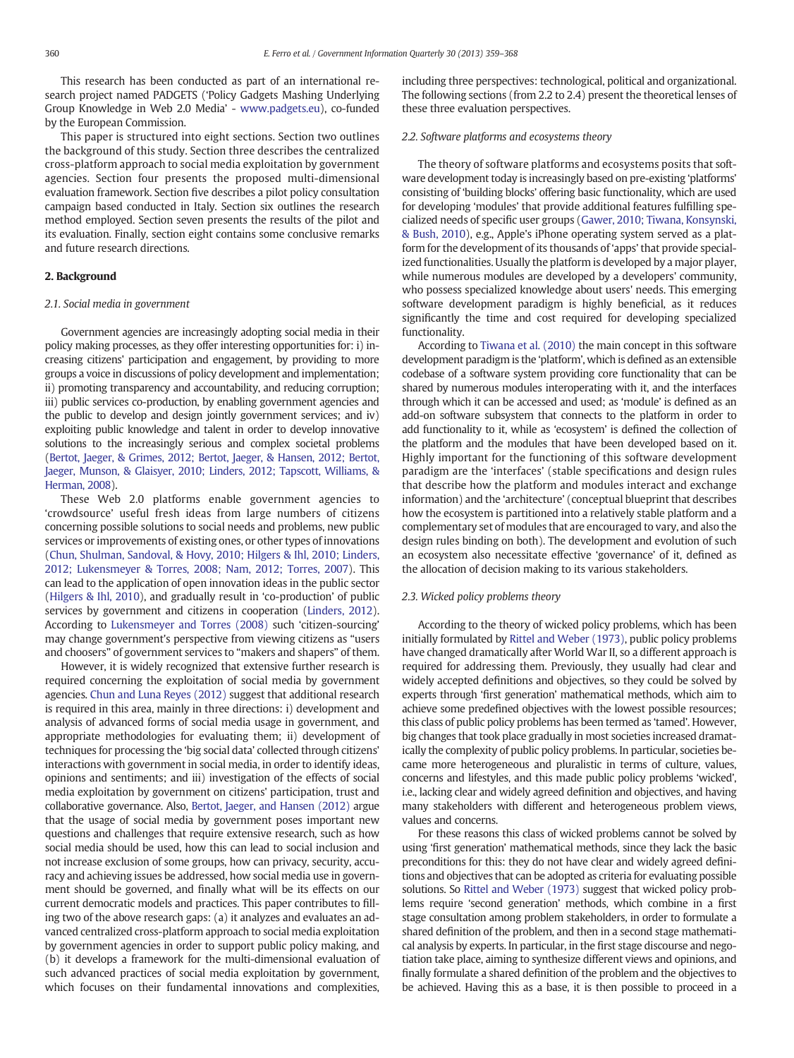This research has been conducted as part of an international research project named PADGETS ('Policy Gadgets Mashing Underlying Group Knowledge in Web 2.0 Media' - [www.padgets.eu](http://www.padgets.eu)), co-funded by the European Commission.

This paper is structured into eight sections. Section two outlines the background of this study. Section three describes the centralized cross-platform approach to social media exploitation by government agencies. Section four presents the proposed multi-dimensional evaluation framework. Section five describes a pilot policy consultation campaign based conducted in Italy. Section six outlines the research method employed. Section seven presents the results of the pilot and its evaluation. Finally, section eight contains some conclusive remarks and future research directions.

# 2. Background

# 2.1. Social media in government

Government agencies are increasingly adopting social media in their policy making processes, as they offer interesting opportunities for: i) increasing citizens' participation and engagement, by providing to more groups a voice in discussions of policy development and implementation; ii) promoting transparency and accountability, and reducing corruption; iii) public services co-production, by enabling government agencies and the public to develop and design jointly government services; and iv) exploiting public knowledge and talent in order to develop innovative solutions to the increasingly serious and complex societal problems [\(Bertot, Jaeger, & Grimes, 2012; Bertot, Jaeger, & Hansen, 2012; Bertot,](#page-8-0) [Jaeger, Munson, & Glaisyer, 2010; Linders, 2012; Tapscott, Williams, &](#page-8-0) [Herman, 2008](#page-8-0)).

These Web 2.0 platforms enable government agencies to 'crowdsource' useful fresh ideas from large numbers of citizens concerning possible solutions to social needs and problems, new public services or improvements of existing ones, or other types of innovations [\(Chun, Shulman, Sandoval, & Hovy, 2010; Hilgers & Ihl, 2010; Linders,](#page-8-0) [2012; Lukensmeyer & Torres, 2008; Nam, 2012; Torres, 2007](#page-8-0)). This can lead to the application of open innovation ideas in the public sector [\(Hilgers & Ihl, 2010\)](#page-9-0), and gradually result in 'co-production' of public services by government and citizens in cooperation ([Linders, 2012\)](#page-9-0). According to [Lukensmeyer and Torres \(2008\)](#page-9-0) such 'citizen-sourcing' may change government's perspective from viewing citizens as "users and choosers" of government services to "makers and shapers" of them.

However, it is widely recognized that extensive further research is required concerning the exploitation of social media by government agencies. [Chun and Luna Reyes \(2012\)](#page-8-0) suggest that additional research is required in this area, mainly in three directions: i) development and analysis of advanced forms of social media usage in government, and appropriate methodologies for evaluating them; ii) development of techniques for processing the 'big social data' collected through citizens' interactions with government in social media, in order to identify ideas, opinions and sentiments; and iii) investigation of the effects of social media exploitation by government on citizens' participation, trust and collaborative governance. Also, [Bertot, Jaeger, and Hansen \(2012\)](#page-8-0) argue that the usage of social media by government poses important new questions and challenges that require extensive research, such as how social media should be used, how this can lead to social inclusion and not increase exclusion of some groups, how can privacy, security, accuracy and achieving issues be addressed, how social media use in government should be governed, and finally what will be its effects on our current democratic models and practices. This paper contributes to filling two of the above research gaps: (a) it analyzes and evaluates an advanced centralized cross-platform approach to social media exploitation by government agencies in order to support public policy making, and (b) it develops a framework for the multi-dimensional evaluation of such advanced practices of social media exploitation by government, which focuses on their fundamental innovations and complexities,

including three perspectives: technological, political and organizational. The following sections (from 2.2 to 2.4) present the theoretical lenses of these three evaluation perspectives.

### 2.2. Software platforms and ecosystems theory

The theory of software platforms and ecosystems posits that software development today is increasingly based on pre-existing 'platforms' consisting of 'building blocks' offering basic functionality, which are used for developing 'modules' that provide additional features fulfilling specialized needs of specific user groups [\(Gawer, 2010; Tiwana, Konsynski,](#page-9-0) [& Bush, 2010](#page-9-0)), e.g., Apple's iPhone operating system served as a platform for the development of its thousands of 'apps' that provide specialized functionalities. Usually the platform is developed by a major player, while numerous modules are developed by a developers' community, who possess specialized knowledge about users' needs. This emerging software development paradigm is highly beneficial, as it reduces significantly the time and cost required for developing specialized functionality.

According to [Tiwana et al. \(2010\)](#page-9-0) the main concept in this software development paradigm is the 'platform', which is defined as an extensible codebase of a software system providing core functionality that can be shared by numerous modules interoperating with it, and the interfaces through which it can be accessed and used; as 'module' is defined as an add-on software subsystem that connects to the platform in order to add functionality to it, while as 'ecosystem' is defined the collection of the platform and the modules that have been developed based on it. Highly important for the functioning of this software development paradigm are the 'interfaces' (stable specifications and design rules that describe how the platform and modules interact and exchange information) and the 'architecture' (conceptual blueprint that describes how the ecosystem is partitioned into a relatively stable platform and a complementary set of modules that are encouraged to vary, and also the design rules binding on both). The development and evolution of such an ecosystem also necessitate effective 'governance' of it, defined as the allocation of decision making to its various stakeholders.

# 2.3. Wicked policy problems theory

According to the theory of wicked policy problems, which has been initially formulated by [Rittel and Weber \(1973\),](#page-9-0) public policy problems have changed dramatically after World War II, so a different approach is required for addressing them. Previously, they usually had clear and widely accepted definitions and objectives, so they could be solved by experts through 'first generation' mathematical methods, which aim to achieve some predefined objectives with the lowest possible resources; this class of public policy problems has been termed as 'tamed'. However, big changes that took place gradually in most societies increased dramatically the complexity of public policy problems. In particular, societies became more heterogeneous and pluralistic in terms of culture, values, concerns and lifestyles, and this made public policy problems 'wicked', i.e., lacking clear and widely agreed definition and objectives, and having many stakeholders with different and heterogeneous problem views, values and concerns.

For these reasons this class of wicked problems cannot be solved by using 'first generation' mathematical methods, since they lack the basic preconditions for this: they do not have clear and widely agreed definitions and objectives that can be adopted as criteria for evaluating possible solutions. So [Rittel and Weber \(1973\)](#page-9-0) suggest that wicked policy problems require 'second generation' methods, which combine in a first stage consultation among problem stakeholders, in order to formulate a shared definition of the problem, and then in a second stage mathematical analysis by experts. In particular, in the first stage discourse and negotiation take place, aiming to synthesize different views and opinions, and finally formulate a shared definition of the problem and the objectives to be achieved. Having this as a base, it is then possible to proceed in a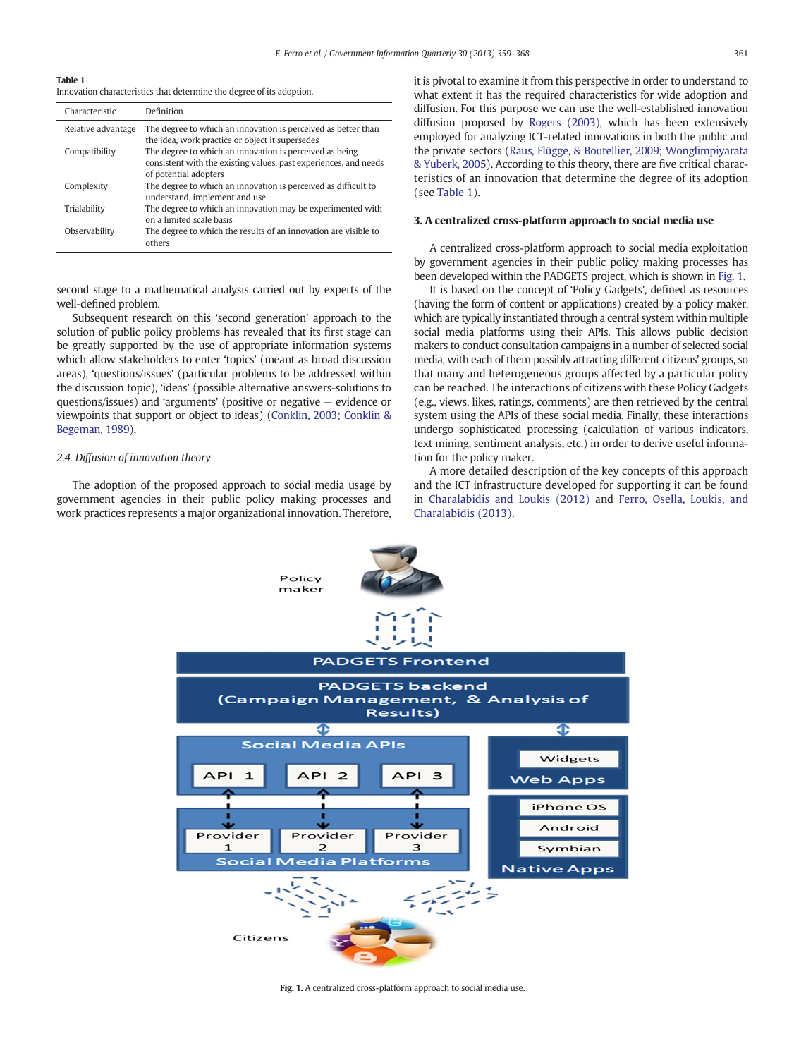#### <span id="page-2-0"></span>Table 1

Innovation characteristics that determine the degree of its adoption.

| Characteristic     | Definition                                                                                      |
|--------------------|-------------------------------------------------------------------------------------------------|
| Relative advantage | The degree to which an innovation is perceived as better than                                   |
|                    | the idea, work practice or object it supersedes                                                 |
| Compatibility      | The degree to which an innovation is perceived as being                                         |
|                    | consistent with the existing values, past experiences, and needs                                |
|                    | of potential adopters                                                                           |
| Complexity         | The degree to which an innovation is perceived as difficult to<br>understand, implement and use |
| Trialability       | The degree to which an innovation may be experimented with<br>on a limited scale basis          |
| Observability      | The degree to which the results of an innovation are visible to<br>others                       |

second stage to a mathematical analysis carried out by experts of the well-defined problem.

Subsequent research on this 'second generation' approach to the solution of public policy problems has revealed that its first stage can be greatly supported by the use of appropriate information systems which allow stakeholders to enter 'topics' (meant as broad discussion areas), 'questions/issues' (particular problems to be addressed within the discussion topic), 'ideas' (possible alternative answers-solutions to questions/issues) and 'arguments' (positive or negative — evidence or viewpoints that support or object to ideas) ([Conklin, 2003; Conklin &](#page-8-0) [Begeman, 1989\)](#page-8-0).

# 2.4. Diffusion of innovation theory

The adoption of the proposed approach to social media usage by government agencies in their public policy making processes and work practices represents a major organizational innovation. Therefore, it is pivotal to examine it from this perspective in order to understand to what extent it has the required characteristics for wide adoption and diffusion. For this purpose we can use the well-established innovation diffusion proposed by [Rogers \(2003\)](#page-9-0), which has been extensively employed for analyzing ICT-related innovations in both the public and the private sectors [\(Raus, Flügge, & Boutellier, 2009; Wonglimpiyarata](#page-9-0) [& Yuberk, 2005\)](#page-9-0). According to this theory, there are five critical characteristics of an innovation that determine the degree of its adoption (see Table 1).

#### 3. A centralized cross-platform approach to social media use

A centralized cross-platform approach to social media exploitation by government agencies in their public policy making processes has been developed within the PADGETS project, which is shown in Fig. 1.

It is based on the concept of 'Policy Gadgets', defined as resources (having the form of content or applications) created by a policy maker, which are typically instantiated through a central system within multiple social media platforms using their APIs. This allows public decision makers to conduct consultation campaigns in a number of selected social media, with each of them possibly attracting different citizens' groups, so that many and heterogeneous groups affected by a particular policy can be reached. The interactions of citizens with these Policy Gadgets (e.g., views, likes, ratings, comments) are then retrieved by the central system using the APIs of these social media. Finally, these interactions undergo sophisticated processing (calculation of various indicators, text mining, sentiment analysis, etc.) in order to derive useful information for the policy maker.

A more detailed description of the key concepts of this approach and the ICT infrastructure developed for supporting it can be found in [Charalabidis and Loukis \(2012\)](#page-8-0) and [Ferro, Osella, Loukis, and](#page-9-0) [Charalabidis \(2013\)](#page-9-0).



Fig. 1. A centralized cross-platform approach to social media use.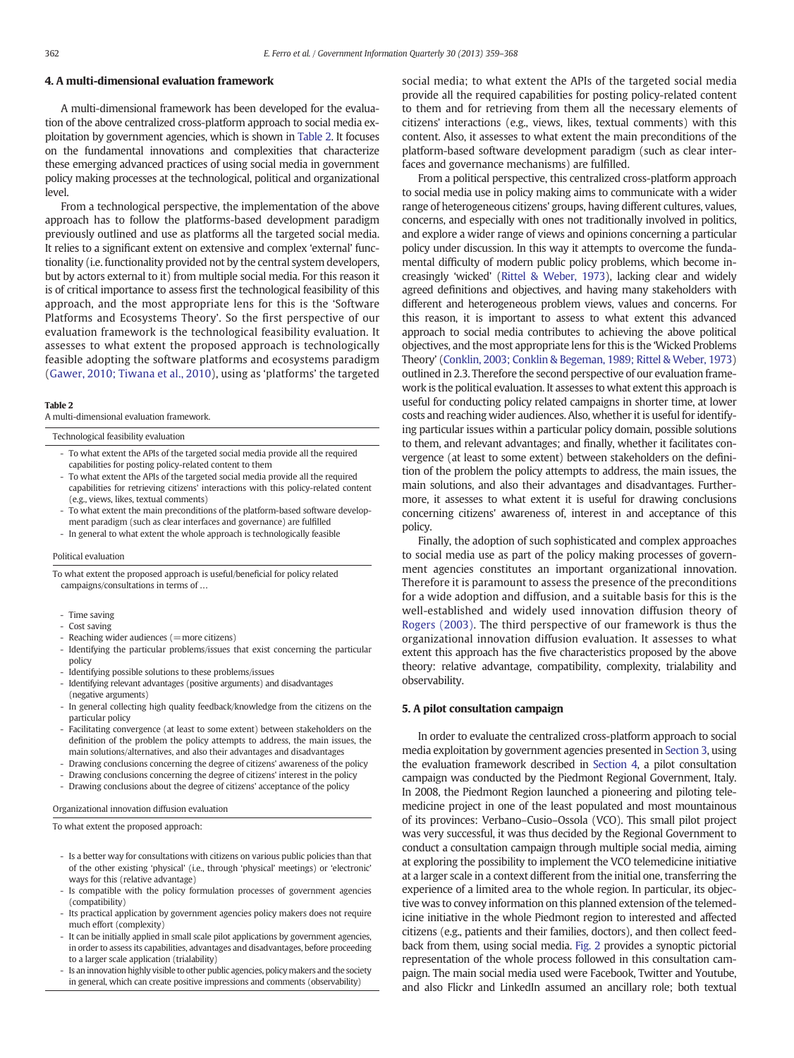# <span id="page-3-0"></span>4. A multi-dimensional evaluation framework

A multi-dimensional framework has been developed for the evaluation of the above centralized cross-platform approach to social media exploitation by government agencies, which is shown in Table 2. It focuses on the fundamental innovations and complexities that characterize these emerging advanced practices of using social media in government policy making processes at the technological, political and organizational level.

From a technological perspective, the implementation of the above approach has to follow the platforms-based development paradigm previously outlined and use as platforms all the targeted social media. It relies to a significant extent on extensive and complex 'external' functionality (i.e. functionality provided not by the central system developers, but by actors external to it) from multiple social media. For this reason it is of critical importance to assess first the technological feasibility of this approach, and the most appropriate lens for this is the 'Software Platforms and Ecosystems Theory'. So the first perspective of our evaluation framework is the technological feasibility evaluation. It assesses to what extent the proposed approach is technologically feasible adopting the software platforms and ecosystems paradigm [\(Gawer, 2010; Tiwana et al., 2010](#page-9-0)), using as 'platforms' the targeted

#### Table 2

A multi-dimensional evaluation framework.

# Technological feasibility evaluation

- To what extent the APIs of the targeted social media provide all the required capabilities for posting policy-related content to them
- To what extent the APIs of the targeted social media provide all the required capabilities for retrieving citizens' interactions with this policy-related content (e.g., views, likes, textual comments)
- To what extent the main preconditions of the platform-based software development paradigm (such as clear interfaces and governance) are fulfilled
- In general to what extent the whole approach is technologically feasible

#### Political evaluation

To what extent the proposed approach is useful/beneficial for policy related campaigns/consultations in terms of …

- Time saving
- Cost saving
- Reaching wider audiences (=more citizens)
- Identifying the particular problems/issues that exist concerning the particular policy
- Identifying possible solutions to these problems/issues
- Identifying relevant advantages (positive arguments) and disadvantages (negative arguments)
- In general collecting high quality feedback/knowledge from the citizens on the particular policy
- Facilitating convergence (at least to some extent) between stakeholders on the definition of the problem the policy attempts to address, the main issues, the main solutions/alternatives, and also their advantages and disadvantages
- Drawing conclusions concerning the degree of citizens' awareness of the policy
- Drawing conclusions concerning the degree of citizens' interest in the policy
- Drawing conclusions about the degree of citizens' acceptance of the policy

# Organizational innovation diffusion evaluation

To what extent the proposed approach:

- Is a better way for consultations with citizens on various public policies than that of the other existing 'physical' (i.e., through 'physical' meetings) or 'electronic' ways for this (relative advantage)
- Is compatible with the policy formulation processes of government agencies (compatibility)
- Its practical application by government agencies policy makers does not require much effort (complexity)
- It can be initially applied in small scale pilot applications by government agencies, in order to assess its capabilities, advantages and disadvantages, before proceeding to a larger scale application (trialability)
- Is an innovation highly visible to other public agencies, policy makers and the society in general, which can create positive impressions and comments (observability)

social media; to what extent the APIs of the targeted social media provide all the required capabilities for posting policy-related content to them and for retrieving from them all the necessary elements of citizens' interactions (e.g., views, likes, textual comments) with this content. Also, it assesses to what extent the main preconditions of the platform-based software development paradigm (such as clear interfaces and governance mechanisms) are fulfilled.

From a political perspective, this centralized cross-platform approach to social media use in policy making aims to communicate with a wider range of heterogeneous citizens' groups, having different cultures, values, concerns, and especially with ones not traditionally involved in politics, and explore a wider range of views and opinions concerning a particular policy under discussion. In this way it attempts to overcome the fundamental difficulty of modern public policy problems, which become increasingly 'wicked' [\(Rittel & Weber, 1973](#page-9-0)), lacking clear and widely agreed definitions and objectives, and having many stakeholders with different and heterogeneous problem views, values and concerns. For this reason, it is important to assess to what extent this advanced approach to social media contributes to achieving the above political objectives, and the most appropriate lens for this is the 'Wicked Problems Theory' [\(Conklin, 2003; Conklin & Begeman, 1989; Rittel & Weber, 1973](#page-8-0)) outlined in 2.3. Therefore the second perspective of our evaluation framework is the political evaluation. It assesses to what extent this approach is useful for conducting policy related campaigns in shorter time, at lower costs and reaching wider audiences. Also, whether it is useful for identifying particular issues within a particular policy domain, possible solutions to them, and relevant advantages; and finally, whether it facilitates convergence (at least to some extent) between stakeholders on the definition of the problem the policy attempts to address, the main issues, the main solutions, and also their advantages and disadvantages. Furthermore, it assesses to what extent it is useful for drawing conclusions concerning citizens' awareness of, interest in and acceptance of this policy.

Finally, the adoption of such sophisticated and complex approaches to social media use as part of the policy making processes of government agencies constitutes an important organizational innovation. Therefore it is paramount to assess the presence of the preconditions for a wide adoption and diffusion, and a suitable basis for this is the well-established and widely used innovation diffusion theory of [Rogers \(2003\)](#page-9-0). The third perspective of our framework is thus the organizational innovation diffusion evaluation. It assesses to what extent this approach has the five characteristics proposed by the above theory: relative advantage, compatibility, complexity, trialability and observability.

# 5. A pilot consultation campaign

In order to evaluate the centralized cross-platform approach to social media exploitation by government agencies presented in [Section 3](#page-2-0), using the evaluation framework described in Section 4, a pilot consultation campaign was conducted by the Piedmont Regional Government, Italy. In 2008, the Piedmont Region launched a pioneering and piloting telemedicine project in one of the least populated and most mountainous of its provinces: Verbano–Cusio–Ossola (VCO). This small pilot project was very successful, it was thus decided by the Regional Government to conduct a consultation campaign through multiple social media, aiming at exploring the possibility to implement the VCO telemedicine initiative at a larger scale in a context different from the initial one, transferring the experience of a limited area to the whole region. In particular, its objective was to convey information on this planned extension of the telemedicine initiative in the whole Piedmont region to interested and affected citizens (e.g., patients and their families, doctors), and then collect feedback from them, using social media. [Fig. 2](#page-4-0) provides a synoptic pictorial representation of the whole process followed in this consultation campaign. The main social media used were Facebook, Twitter and Youtube, and also Flickr and LinkedIn assumed an ancillary role; both textual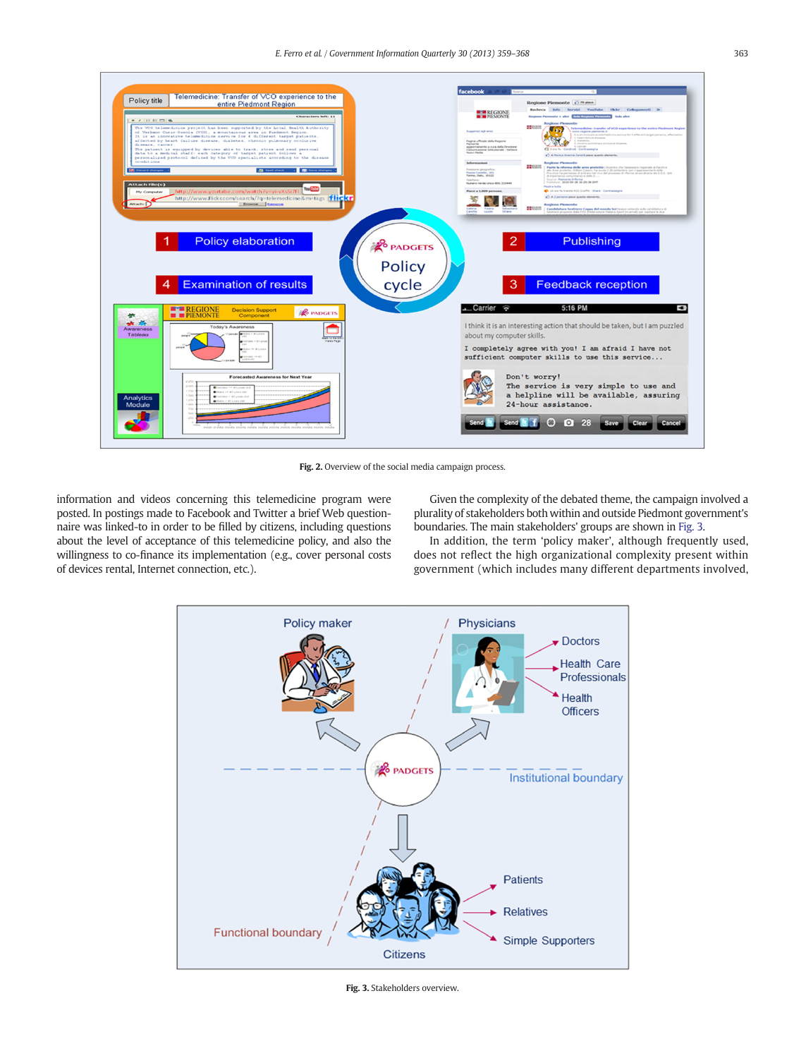<span id="page-4-0"></span>

Fig. 2. Overview of the social media campaign process.

information and videos concerning this telemedicine program were posted. In postings made to Facebook and Twitter a brief Web questionnaire was linked-to in order to be filled by citizens, including questions about the level of acceptance of this telemedicine policy, and also the willingness to co-finance its implementation (e.g., cover personal costs of devices rental, Internet connection, etc.).

Given the complexity of the debated theme, the campaign involved a plurality of stakeholders both within and outside Piedmont government's boundaries. The main stakeholders' groups are shown in Fig. 3.

In addition, the term 'policy maker', although frequently used, does not reflect the high organizational complexity present within government (which includes many different departments involved,



Fig. 3. Stakeholders overview.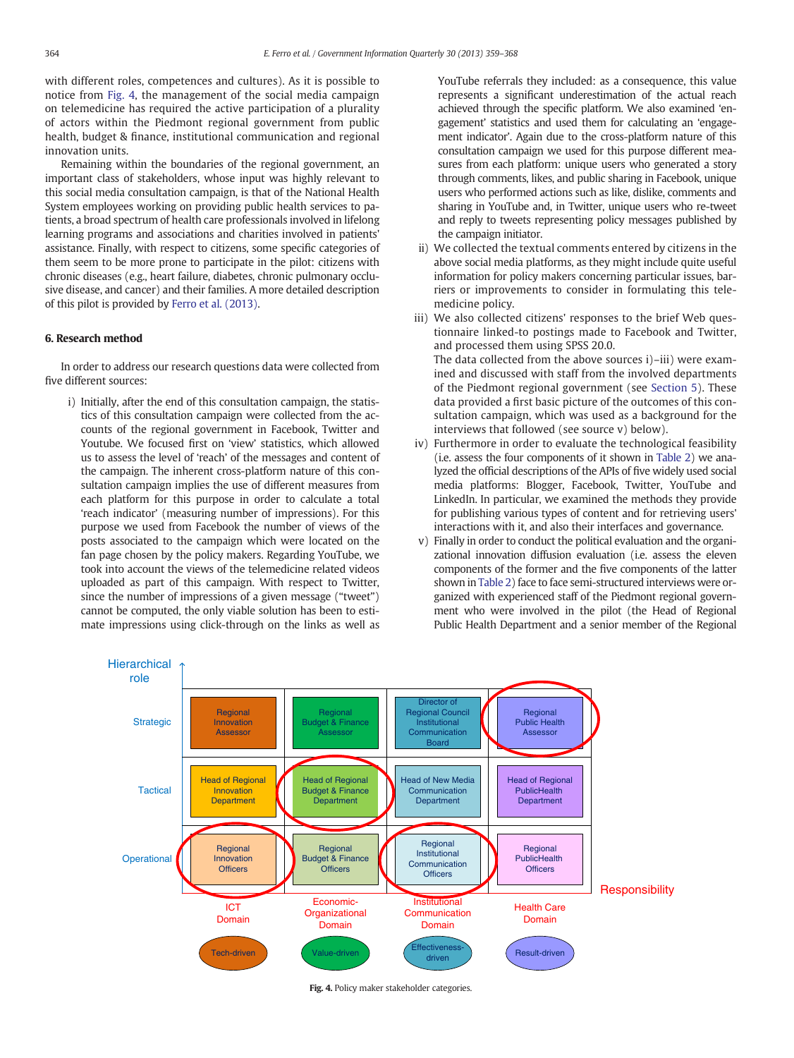<span id="page-5-0"></span>with different roles, competences and cultures). As it is possible to notice from Fig. 4, the management of the social media campaign on telemedicine has required the active participation of a plurality of actors within the Piedmont regional government from public health, budget & finance, institutional communication and regional innovation units.

Remaining within the boundaries of the regional government, an important class of stakeholders, whose input was highly relevant to this social media consultation campaign, is that of the National Health System employees working on providing public health services to patients, a broad spectrum of health care professionals involved in lifelong learning programs and associations and charities involved in patients' assistance. Finally, with respect to citizens, some specific categories of them seem to be more prone to participate in the pilot: citizens with chronic diseases (e.g., heart failure, diabetes, chronic pulmonary occlusive disease, and cancer) and their families. A more detailed description of this pilot is provided by [Ferro et al. \(2013\)](#page-9-0).

# 6. Research method

In order to address our research questions data were collected from five different sources:

i) Initially, after the end of this consultation campaign, the statistics of this consultation campaign were collected from the accounts of the regional government in Facebook, Twitter and Youtube. We focused first on 'view' statistics, which allowed us to assess the level of 'reach' of the messages and content of the campaign. The inherent cross-platform nature of this consultation campaign implies the use of different measures from each platform for this purpose in order to calculate a total 'reach indicator' (measuring number of impressions). For this purpose we used from Facebook the number of views of the posts associated to the campaign which were located on the fan page chosen by the policy makers. Regarding YouTube, we took into account the views of the telemedicine related videos uploaded as part of this campaign. With respect to Twitter, since the number of impressions of a given message ("tweet") cannot be computed, the only viable solution has been to estimate impressions using click-through on the links as well as

YouTube referrals they included: as a consequence, this value represents a significant underestimation of the actual reach achieved through the specific platform. We also examined 'engagement' statistics and used them for calculating an 'engagement indicator'. Again due to the cross-platform nature of this consultation campaign we used for this purpose different measures from each platform: unique users who generated a story through comments, likes, and public sharing in Facebook, unique users who performed actions such as like, dislike, comments and sharing in YouTube and, in Twitter, unique users who re-tweet and reply to tweets representing policy messages published by the campaign initiator.

- ii) We collected the textual comments entered by citizens in the above social media platforms, as they might include quite useful information for policy makers concerning particular issues, barriers or improvements to consider in formulating this telemedicine policy.
- iii) We also collected citizens' responses to the brief Web questionnaire linked-to postings made to Facebook and Twitter, and processed them using SPSS 20.0. The data collected from the above sources i)–iii) were examined and discussed with staff from the involved departments of the Piedmont regional government (see [Section 5](#page-3-0)). These data provided a first basic picture of the outcomes of this consultation campaign, which was used as a background for the interviews that followed (see source v) below).
- iv) Furthermore in order to evaluate the technological feasibility (i.e. assess the four components of it shown in [Table 2](#page-3-0)) we analyzed the official descriptions of the APIs of five widely used social media platforms: Blogger, Facebook, Twitter, YouTube and LinkedIn. In particular, we examined the methods they provide for publishing various types of content and for retrieving users' interactions with it, and also their interfaces and governance.
- v) Finally in order to conduct the political evaluation and the organizational innovation diffusion evaluation (i.e. assess the eleven components of the former and the five components of the latter shown in [Table 2\)](#page-3-0) face to face semi-structured interviews were organized with experienced staff of the Piedmont regional government who were involved in the pilot (the Head of Regional Public Health Department and a senior member of the Regional



Fig. 4. Policy maker stakeholder categories.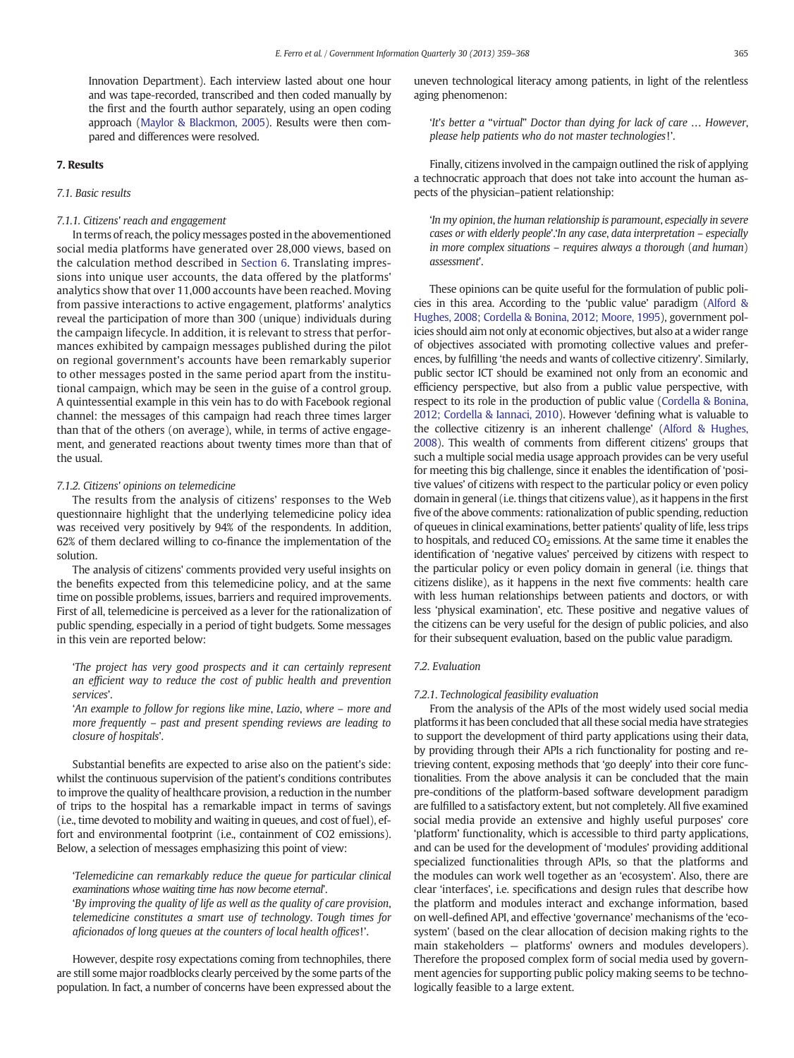Innovation Department). Each interview lasted about one hour and was tape-recorded, transcribed and then coded manually by the first and the fourth author separately, using an open coding approach ([Maylor & Blackmon, 2005\)](#page-9-0). Results were then compared and differences were resolved.

# 7. Results

# 7.1. Basic results

# 7.1.1. Citizens' reach and engagement

In terms of reach, the policy messages posted in the abovementioned social media platforms have generated over 28,000 views, based on the calculation method described in [Section 6](#page-5-0). Translating impressions into unique user accounts, the data offered by the platforms' analytics show that over 11,000 accounts have been reached. Moving from passive interactions to active engagement, platforms' analytics reveal the participation of more than 300 (unique) individuals during the campaign lifecycle. In addition, it is relevant to stress that performances exhibited by campaign messages published during the pilot on regional government's accounts have been remarkably superior to other messages posted in the same period apart from the institutional campaign, which may be seen in the guise of a control group. A quintessential example in this vein has to do with Facebook regional channel: the messages of this campaign had reach three times larger than that of the others (on average), while, in terms of active engagement, and generated reactions about twenty times more than that of the usual.

# 7.1.2. Citizens' opinions on telemedicine

The results from the analysis of citizens' responses to the Web questionnaire highlight that the underlying telemedicine policy idea was received very positively by 94% of the respondents. In addition, 62% of them declared willing to co-finance the implementation of the solution.

The analysis of citizens' comments provided very useful insights on the benefits expected from this telemedicine policy, and at the same time on possible problems, issues, barriers and required improvements. First of all, telemedicine is perceived as a lever for the rationalization of public spending, especially in a period of tight budgets. Some messages in this vein are reported below:

'The project has very good prospects and it can certainly represent an efficient way to reduce the cost of public health and prevention services'.

'An example to follow for regions like mine, Lazio, where – more and more frequently – past and present spending reviews are leading to closure of hospitals'.

Substantial benefits are expected to arise also on the patient's side: whilst the continuous supervision of the patient's conditions contributes to improve the quality of healthcare provision, a reduction in the number of trips to the hospital has a remarkable impact in terms of savings (i.e., time devoted to mobility and waiting in queues, and cost of fuel), effort and environmental footprint (i.e., containment of CO2 emissions). Below, a selection of messages emphasizing this point of view:

'Telemedicine can remarkably reduce the queue for particular clinical examinations whose waiting time has now become eternal'.

'By improving the quality of life as well as the quality of care provision, telemedicine constitutes a smart use of technology. Tough times for aficionados of long queues at the counters of local health offices!'.

However, despite rosy expectations coming from technophiles, there are still some major roadblocks clearly perceived by the some parts of the population. In fact, a number of concerns have been expressed about the uneven technological literacy among patients, in light of the relentless aging phenomenon:

'It's better a "virtual" Doctor than dying for lack of care … However, please help patients who do not master technologies!'.

Finally, citizens involved in the campaign outlined the risk of applying a technocratic approach that does not take into account the human aspects of the physician–patient relationship:

'In my opinion, the human relationship is paramount, especially in severe cases or with elderly people'.'In any case, data interpretation – especially in more complex situations – requires always a thorough (and human) assessment'.

These opinions can be quite useful for the formulation of public policies in this area. According to the 'public value' paradigm ([Alford &](#page-8-0) [Hughes, 2008; Cordella & Bonina, 2012; Moore, 1995](#page-8-0)), government policies should aim not only at economic objectives, but also at a wider range of objectives associated with promoting collective values and preferences, by fulfilling 'the needs and wants of collective citizenry'. Similarly, public sector ICT should be examined not only from an economic and efficiency perspective, but also from a public value perspective, with respect to its role in the production of public value ([Cordella & Bonina,](#page-8-0) [2012; Cordella & Iannaci, 2010](#page-8-0)). However 'defining what is valuable to the collective citizenry is an inherent challenge' ([Alford & Hughes,](#page-8-0) [2008](#page-8-0)). This wealth of comments from different citizens' groups that such a multiple social media usage approach provides can be very useful for meeting this big challenge, since it enables the identification of 'positive values' of citizens with respect to the particular policy or even policy domain in general (i.e. things that citizens value), as it happens in the first five of the above comments: rationalization of public spending, reduction of queues in clinical examinations, better patients' quality of life, less trips to hospitals, and reduced  $CO<sub>2</sub>$  emissions. At the same time it enables the identification of 'negative values' perceived by citizens with respect to the particular policy or even policy domain in general (i.e. things that citizens dislike), as it happens in the next five comments: health care with less human relationships between patients and doctors, or with less 'physical examination', etc. These positive and negative values of the citizens can be very useful for the design of public policies, and also for their subsequent evaluation, based on the public value paradigm.

# 7.2. Evaluation

#### 7.2.1. Technological feasibility evaluation

From the analysis of the APIs of the most widely used social media platforms it has been concluded that all these social media have strategies to support the development of third party applications using their data, by providing through their APIs a rich functionality for posting and retrieving content, exposing methods that 'go deeply' into their core functionalities. From the above analysis it can be concluded that the main pre-conditions of the platform-based software development paradigm are fulfilled to a satisfactory extent, but not completely. All five examined social media provide an extensive and highly useful purposes' core 'platform' functionality, which is accessible to third party applications, and can be used for the development of 'modules' providing additional specialized functionalities through APIs, so that the platforms and the modules can work well together as an 'ecosystem'. Also, there are clear 'interfaces', i.e. specifications and design rules that describe how the platform and modules interact and exchange information, based on well-defined API, and effective 'governance' mechanisms of the 'ecosystem' (based on the clear allocation of decision making rights to the main stakeholders — platforms' owners and modules developers). Therefore the proposed complex form of social media used by government agencies for supporting public policy making seems to be technologically feasible to a large extent.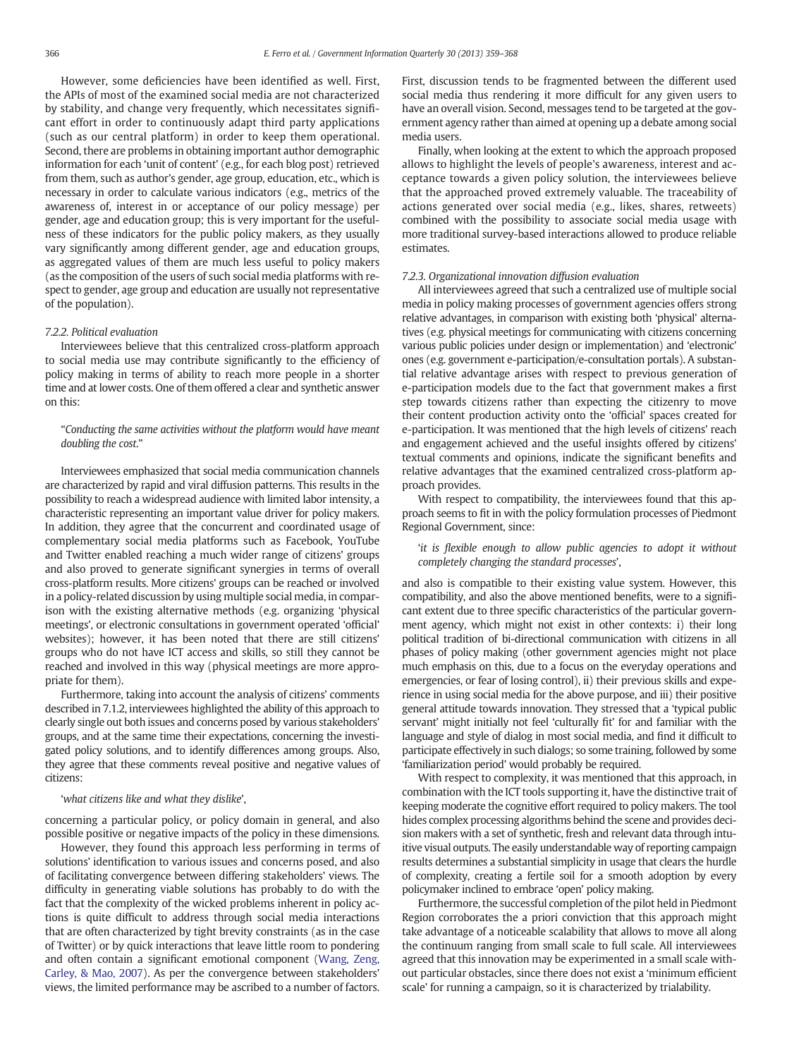However, some deficiencies have been identified as well. First, the APIs of most of the examined social media are not characterized by stability, and change very frequently, which necessitates significant effort in order to continuously adapt third party applications (such as our central platform) in order to keep them operational. Second, there are problems in obtaining important author demographic information for each 'unit of content' (e.g., for each blog post) retrieved from them, such as author's gender, age group, education, etc., which is necessary in order to calculate various indicators (e.g., metrics of the awareness of, interest in or acceptance of our policy message) per gender, age and education group; this is very important for the usefulness of these indicators for the public policy makers, as they usually vary significantly among different gender, age and education groups, as aggregated values of them are much less useful to policy makers (as the composition of the users of such social media platforms with respect to gender, age group and education are usually not representative of the population).

# 7.2.2. Political evaluation

Interviewees believe that this centralized cross-platform approach to social media use may contribute significantly to the efficiency of policy making in terms of ability to reach more people in a shorter time and at lower costs. One of them offered a clear and synthetic answer on this:

"Conducting the same activities without the platform would have meant doubling the cost."

Interviewees emphasized that social media communication channels are characterized by rapid and viral diffusion patterns. This results in the possibility to reach a widespread audience with limited labor intensity, a characteristic representing an important value driver for policy makers. In addition, they agree that the concurrent and coordinated usage of complementary social media platforms such as Facebook, YouTube and Twitter enabled reaching a much wider range of citizens' groups and also proved to generate significant synergies in terms of overall cross-platform results. More citizens' groups can be reached or involved in a policy-related discussion by using multiple social media, in comparison with the existing alternative methods (e.g. organizing 'physical meetings', or electronic consultations in government operated 'official' websites); however, it has been noted that there are still citizens' groups who do not have ICT access and skills, so still they cannot be reached and involved in this way (physical meetings are more appropriate for them).

Furthermore, taking into account the analysis of citizens' comments described in 7.1.2, interviewees highlighted the ability of this approach to clearly single out both issues and concerns posed by various stakeholders' groups, and at the same time their expectations, concerning the investigated policy solutions, and to identify differences among groups. Also, they agree that these comments reveal positive and negative values of citizens:

#### 'what citizens like and what they dislike',

concerning a particular policy, or policy domain in general, and also possible positive or negative impacts of the policy in these dimensions.

However, they found this approach less performing in terms of solutions' identification to various issues and concerns posed, and also of facilitating convergence between differing stakeholders' views. The difficulty in generating viable solutions has probably to do with the fact that the complexity of the wicked problems inherent in policy actions is quite difficult to address through social media interactions that are often characterized by tight brevity constraints (as in the case of Twitter) or by quick interactions that leave little room to pondering and often contain a significant emotional component [\(Wang, Zeng,](#page-9-0) [Carley, & Mao, 2007](#page-9-0)). As per the convergence between stakeholders' views, the limited performance may be ascribed to a number of factors.

First, discussion tends to be fragmented between the different used social media thus rendering it more difficult for any given users to have an overall vision. Second, messages tend to be targeted at the government agency rather than aimed at opening up a debate among social media users.

Finally, when looking at the extent to which the approach proposed allows to highlight the levels of people's awareness, interest and acceptance towards a given policy solution, the interviewees believe that the approached proved extremely valuable. The traceability of actions generated over social media (e.g., likes, shares, retweets) combined with the possibility to associate social media usage with more traditional survey-based interactions allowed to produce reliable estimates.

#### 7.2.3. Organizational innovation diffusion evaluation

All interviewees agreed that such a centralized use of multiple social media in policy making processes of government agencies offers strong relative advantages, in comparison with existing both 'physical' alternatives (e.g. physical meetings for communicating with citizens concerning various public policies under design or implementation) and 'electronic' ones (e.g. government e-participation/e-consultation portals). A substantial relative advantage arises with respect to previous generation of e-participation models due to the fact that government makes a first step towards citizens rather than expecting the citizenry to move their content production activity onto the 'official' spaces created for e-participation. It was mentioned that the high levels of citizens' reach and engagement achieved and the useful insights offered by citizens' textual comments and opinions, indicate the significant benefits and relative advantages that the examined centralized cross-platform approach provides.

With respect to compatibility, the interviewees found that this approach seems to fit in with the policy formulation processes of Piedmont Regional Government, since:

'it is flexible enough to allow public agencies to adopt it without completely changing the standard processes',

and also is compatible to their existing value system. However, this compatibility, and also the above mentioned benefits, were to a significant extent due to three specific characteristics of the particular government agency, which might not exist in other contexts: i) their long political tradition of bi-directional communication with citizens in all phases of policy making (other government agencies might not place much emphasis on this, due to a focus on the everyday operations and emergencies, or fear of losing control), ii) their previous skills and experience in using social media for the above purpose, and iii) their positive general attitude towards innovation. They stressed that a 'typical public servant' might initially not feel 'culturally fit' for and familiar with the language and style of dialog in most social media, and find it difficult to participate effectively in such dialogs; so some training, followed by some 'familiarization period' would probably be required.

With respect to complexity, it was mentioned that this approach, in combination with the ICT tools supporting it, have the distinctive trait of keeping moderate the cognitive effort required to policy makers. The tool hides complex processing algorithms behind the scene and provides decision makers with a set of synthetic, fresh and relevant data through intuitive visual outputs. The easily understandable way of reporting campaign results determines a substantial simplicity in usage that clears the hurdle of complexity, creating a fertile soil for a smooth adoption by every policymaker inclined to embrace 'open' policy making.

Furthermore, the successful completion of the pilot held in Piedmont Region corroborates the a priori conviction that this approach might take advantage of a noticeable scalability that allows to move all along the continuum ranging from small scale to full scale. All interviewees agreed that this innovation may be experimented in a small scale without particular obstacles, since there does not exist a 'minimum efficient scale' for running a campaign, so it is characterized by trialability.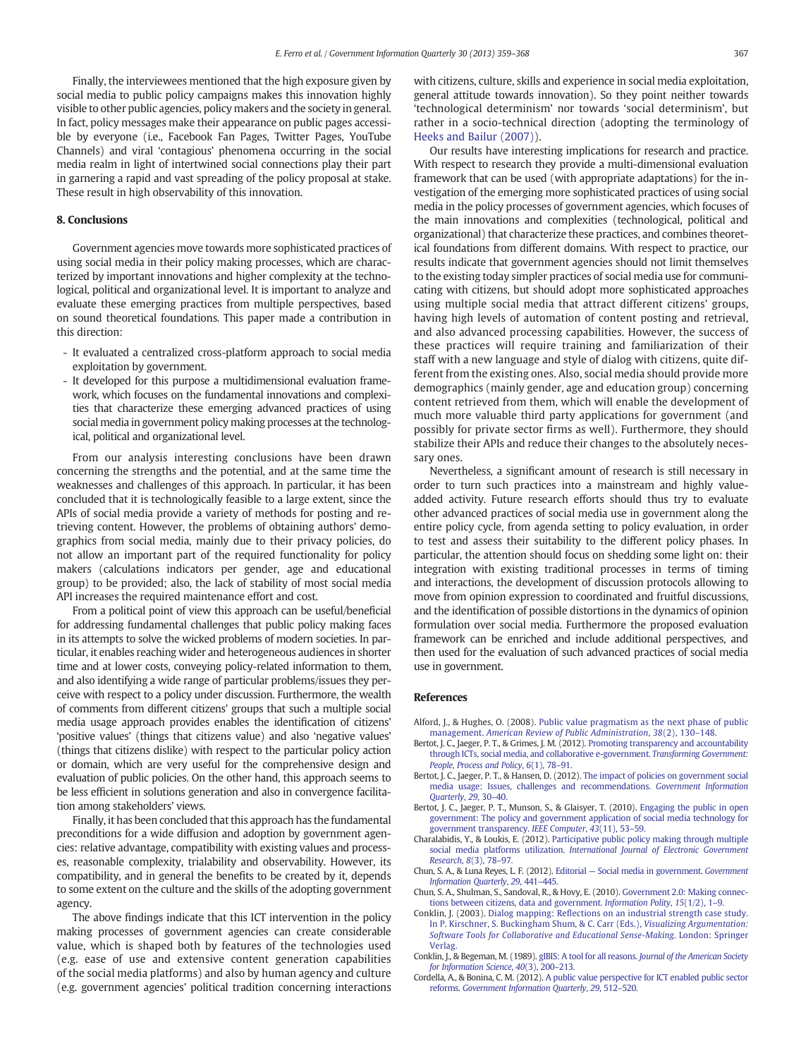<span id="page-8-0"></span>Finally, the interviewees mentioned that the high exposure given by social media to public policy campaigns makes this innovation highly visible to other public agencies, policy makers and the society in general. In fact, policy messages make their appearance on public pages accessible by everyone (i.e., Facebook Fan Pages, Twitter Pages, YouTube Channels) and viral 'contagious' phenomena occurring in the social media realm in light of intertwined social connections play their part in garnering a rapid and vast spreading of the policy proposal at stake. These result in high observability of this innovation.

#### 8. Conclusions

Government agencies move towards more sophisticated practices of using social media in their policy making processes, which are characterized by important innovations and higher complexity at the technological, political and organizational level. It is important to analyze and evaluate these emerging practices from multiple perspectives, based on sound theoretical foundations. This paper made a contribution in this direction:

- It evaluated a centralized cross-platform approach to social media exploitation by government.
- It developed for this purpose a multidimensional evaluation framework, which focuses on the fundamental innovations and complexities that characterize these emerging advanced practices of using social media in government policy making processes at the technological, political and organizational level.

From our analysis interesting conclusions have been drawn concerning the strengths and the potential, and at the same time the weaknesses and challenges of this approach. In particular, it has been concluded that it is technologically feasible to a large extent, since the APIs of social media provide a variety of methods for posting and retrieving content. However, the problems of obtaining authors' demographics from social media, mainly due to their privacy policies, do not allow an important part of the required functionality for policy makers (calculations indicators per gender, age and educational group) to be provided; also, the lack of stability of most social media API increases the required maintenance effort and cost.

From a political point of view this approach can be useful/beneficial for addressing fundamental challenges that public policy making faces in its attempts to solve the wicked problems of modern societies. In particular, it enables reaching wider and heterogeneous audiences in shorter time and at lower costs, conveying policy-related information to them, and also identifying a wide range of particular problems/issues they perceive with respect to a policy under discussion. Furthermore, the wealth of comments from different citizens' groups that such a multiple social media usage approach provides enables the identification of citizens' 'positive values' (things that citizens value) and also 'negative values' (things that citizens dislike) with respect to the particular policy action or domain, which are very useful for the comprehensive design and evaluation of public policies. On the other hand, this approach seems to be less efficient in solutions generation and also in convergence facilitation among stakeholders' views.

Finally, it has been concluded that this approach has the fundamental preconditions for a wide diffusion and adoption by government agencies: relative advantage, compatibility with existing values and processes, reasonable complexity, trialability and observability. However, its compatibility, and in general the benefits to be created by it, depends to some extent on the culture and the skills of the adopting government agency.

The above findings indicate that this ICT intervention in the policy making processes of government agencies can create considerable value, which is shaped both by features of the technologies used (e.g. ease of use and extensive content generation capabilities of the social media platforms) and also by human agency and culture (e.g. government agencies' political tradition concerning interactions with citizens, culture, skills and experience in social media exploitation, general attitude towards innovation). So they point neither towards 'technological determinism' nor towards 'social determinism', but rather in a socio-technical direction (adopting the terminology of [Heeks and Bailur \(2007\)\)](#page-9-0).

Our results have interesting implications for research and practice. With respect to research they provide a multi-dimensional evaluation framework that can be used (with appropriate adaptations) for the investigation of the emerging more sophisticated practices of using social media in the policy processes of government agencies, which focuses of the main innovations and complexities (technological, political and organizational) that characterize these practices, and combines theoretical foundations from different domains. With respect to practice, our results indicate that government agencies should not limit themselves to the existing today simpler practices of social media use for communicating with citizens, but should adopt more sophisticated approaches using multiple social media that attract different citizens' groups, having high levels of automation of content posting and retrieval, and also advanced processing capabilities. However, the success of these practices will require training and familiarization of their staff with a new language and style of dialog with citizens, quite different from the existing ones. Also, social media should provide more demographics (mainly gender, age and education group) concerning content retrieved from them, which will enable the development of much more valuable third party applications for government (and possibly for private sector firms as well). Furthermore, they should stabilize their APIs and reduce their changes to the absolutely necessary ones.

Nevertheless, a significant amount of research is still necessary in order to turn such practices into a mainstream and highly valueadded activity. Future research efforts should thus try to evaluate other advanced practices of social media use in government along the entire policy cycle, from agenda setting to policy evaluation, in order to test and assess their suitability to the different policy phases. In particular, the attention should focus on shedding some light on: their integration with existing traditional processes in terms of timing and interactions, the development of discussion protocols allowing to move from opinion expression to coordinated and fruitful discussions, and the identification of possible distortions in the dynamics of opinion formulation over social media. Furthermore the proposed evaluation framework can be enriched and include additional perspectives, and then used for the evaluation of such advanced practices of social media use in government.

#### References

- Alford, J., & Hughes, O. (2008). [Public value pragmatism as the next phase of public](http://refhub.elsevier.com/S0740-624X(13)00079-8/rf0005) management. [American Review of Public Administration](http://refhub.elsevier.com/S0740-624X(13)00079-8/rf0005), 38(2), 130–148.
- Bertot, J. C., Jaeger, P. T., & Grimes, J. M. (2012). [Promoting transparency and accountability](http://refhub.elsevier.com/S0740-624X(13)00079-8/rf0020) [through ICTs, social media, and collaborative e-government.](http://refhub.elsevier.com/S0740-624X(13)00079-8/rf0020) Transforming Government: [People, Process and Policy](http://refhub.elsevier.com/S0740-624X(13)00079-8/rf0020), 6(1), 78–91.
- Bertot, J. C., Jaeger, P. T., & Hansen, D. (2012). [The impact of policies on government social](http://refhub.elsevier.com/S0740-624X(13)00079-8/rf0015) [media usage: Issues, challenges and recommendations.](http://refhub.elsevier.com/S0740-624X(13)00079-8/rf0015) Government Information [Quarterly](http://refhub.elsevier.com/S0740-624X(13)00079-8/rf0015), 29, 30–40.
- Bertot, J. C., Jaeger, P. T., Munson, S., & Glaisyer, T. (2010). [Engaging the public in open](http://refhub.elsevier.com/S0740-624X(13)00079-8/rf0010) [government: The policy and government application of social media technology for](http://refhub.elsevier.com/S0740-624X(13)00079-8/rf0010) [government transparency.](http://refhub.elsevier.com/S0740-624X(13)00079-8/rf0010) IEEE Computer, 43(11), 53–59.
- Charalabidis, Y., & Loukis, E. (2012). [Participative public policy making through multiple](http://refhub.elsevier.com/S0740-624X(13)00079-8/rf0025) social media platforms utilization. [International Journal of Electronic Government](http://refhub.elsevier.com/S0740-624X(13)00079-8/rf0025) [Research](http://refhub.elsevier.com/S0740-624X(13)00079-8/rf0025), 8(3), 78–97.
- Chun, S. A., & Luna Reyes, L. F. (2012). Editorial [Social media in government.](http://refhub.elsevier.com/S0740-624X(13)00079-8/rf0035) Government [Information Quarterly](http://refhub.elsevier.com/S0740-624X(13)00079-8/rf0035), 29, 441–445.
- Chun, S. A., Shulman, S., Sandoval, R., & Hovy, E. (2010). [Government 2.0: Making connec](http://refhub.elsevier.com/S0740-624X(13)00079-8/rf0030)[tions between citizens, data and government.](http://refhub.elsevier.com/S0740-624X(13)00079-8/rf0030) Information Polity, 15(1/2), 1–9.
- Conklin, J. (2003). Dialog mapping: Refl[ections on an industrial strength case study.](http://refhub.elsevier.com/S0740-624X(13)00079-8/rf0040) [In P. Kirschner, S. Buckingham Shum, & C. Carr \(Eds.\),](http://refhub.elsevier.com/S0740-624X(13)00079-8/rf0040) Visualizing Argumentation: [Software Tools for Collaborative and Educational Sense-Making](http://refhub.elsevier.com/S0740-624X(13)00079-8/rf0040). London: Springer [Verlag.](http://refhub.elsevier.com/S0740-624X(13)00079-8/rf0040)
- Conklin, J., & Begeman, M. (1989). gIBIS: A tool for all reasons. [Journal of the American Society](http://refhub.elsevier.com/S0740-624X(13)00079-8/rf0045) [for Information Science](http://refhub.elsevier.com/S0740-624X(13)00079-8/rf0045), 40(3), 200–213.
- Cordella, A., & Bonina, C. M. (2012). [A public value perspective for ICT enabled public sector](http://refhub.elsevier.com/S0740-624X(13)00079-8/rf0055) reforms. [Government Information Quarterly](http://refhub.elsevier.com/S0740-624X(13)00079-8/rf0055), 29, 512–520.